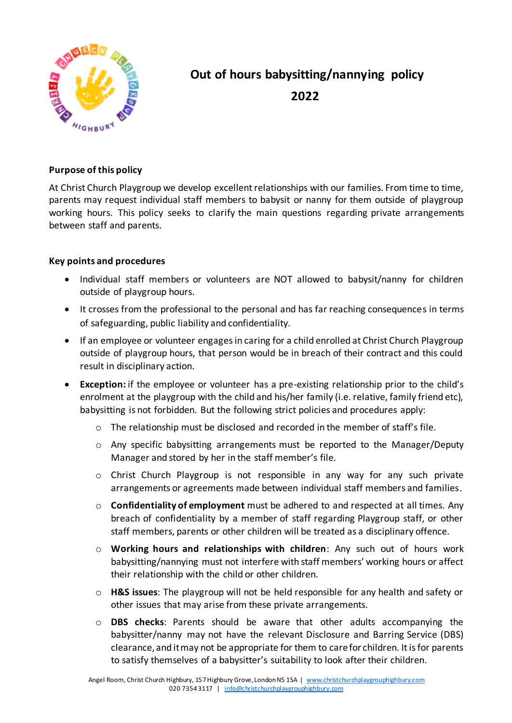

## **Out of hours babysitting/nannying policy 2022**

## **Purpose of this policy**

At Christ Church Playgroup we develop excellent relationships with our families. From time to time, parents may request individual staff members to babysit or nanny for them outside of playgroup working hours. This policy seeks to clarify the main questions regarding private arrangements between staff and parents.

## **Key points and procedures**

- Individual staff members or volunteers are NOT allowed to babysit/nanny for children outside of playgroup hours.
- It crosses from the professional to the personal and has far reaching consequences in terms of safeguarding, public liability and confidentiality.
- If an employee or volunteer engages in caring for a child enrolled at Christ Church Playgroup outside of playgroup hours, that person would be in breach of their contract and this could result in disciplinary action.
- **Exception:** if the employee or volunteer has a pre-existing relationship prior to the child's enrolment at the playgroup with the child and his/her family (i.e. relative, family friend etc), babysitting is not forbidden. But the following strict policies and procedures apply:
	- $\circ$  The relationship must be disclosed and recorded in the member of staff's file.
	- o Any specific babysitting arrangements must be reported to the Manager/Deputy Manager and stored by her in the staff member's file.
	- o Christ Church Playgroup is not responsible in any way for any such private arrangements or agreements made between individual staff members and families.
	- o **Confidentiality of employment** must be adhered to and respected at all times. Any breach of confidentiality by a member of staff regarding Playgroup staff, or other staff members, parents or other children will be treated as a disciplinary offence.
	- o **Working hours and relationships with children**: Any such out of hours work babysitting/nannying must not interfere with staff members' working hours or affect their relationship with the child or other children.
	- o **H&S issues**: The playgroup will not be held responsible for any health and safety or other issues that may arise from these private arrangements.
	- o **DBS checks**: Parents should be aware that other adults accompanying the babysitter/nanny may not have the relevant Disclosure and Barring Service (DBS) clearance, and it may not be appropriate for them to care for children. It is for parents to satisfy themselves of a babysitter's suitability to look after their children.